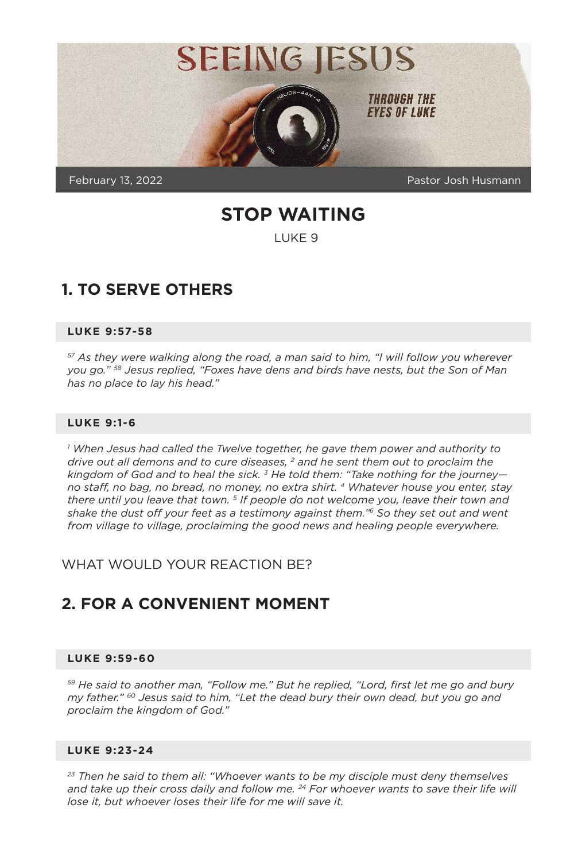

**STOP WAITING**

LUKE 9

## **1. TO SERVE OTHERS**

#### **LUKE 9:57-58**

*57 As they were walking along the road, a man said to him, "I will follow you wherever you go." 58 Jesus replied, "Foxes have dens and birds have nests, but the Son of Man has no place to lay his head."*

#### **LUKE 9:1-6**

*1 When Jesus had called the Twelve together, he gave them power and authority to drive out all demons and to cure diseases, 2 and he sent them out to proclaim the kingdom of God and to heal the sick. 3 He told them: "Take nothing for the journey no staff, no bag, no bread, no money, no extra shirt. 4 Whatever house you enter, stay there until you leave that town. 5 If people do not welcome you, leave their town and shake the dust off your feet as a testimony against them."6 So they set out and went from village to village, proclaiming the good news and healing people everywhere.*

WHAT WOULD YOUR REACTION BE?

### **2. FOR A CONVENIENT MOMENT**

#### **LUKE 9:59-60**

*59 He said to another man, "Follow me." But he replied, "Lord, first let me go and bury my father." 60 Jesus said to him, "Let the dead bury their own dead, but you go and proclaim the kingdom of God."*

#### **LUKE 9:23-24**

*23 Then he said to them all: "Whoever wants to be my disciple must deny themselves and take up their cross daily and follow me. 24 For whoever wants to save their life will lose it, but whoever loses their life for me will save it.*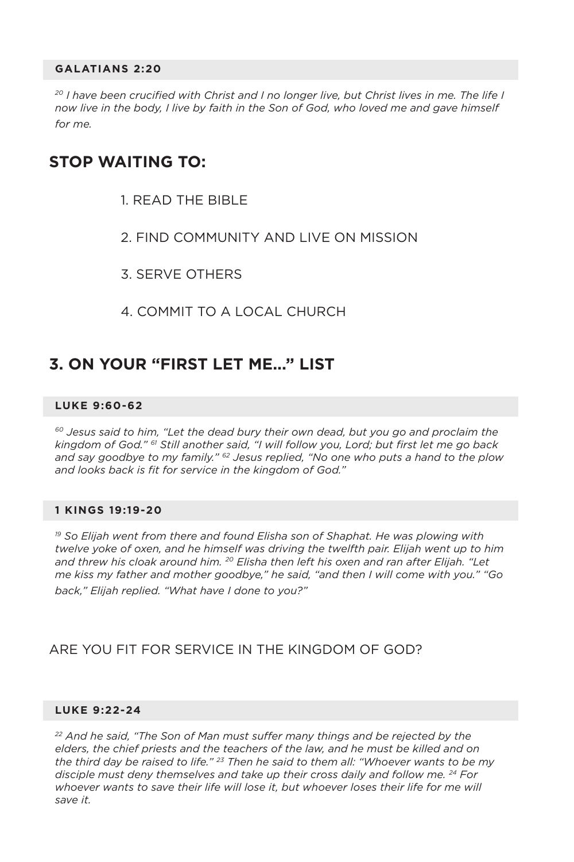#### **GALATIANS 2:20**

<sup>20</sup> I have been crucified with Christ and I no longer live, but Christ lives in me. The life I *now live in the body, I live by faith in the Son of God, who loved me and gave himself for me.*

### **STOP WAITING TO:**

- 1. READ THE BIBLE
- 2. FIND COMMUNITY AND LIVE ON MISSION
- 3. SERVE OTHERS
- 4. COMMIT TO A LOCAL CHURCH

### **3. ON YOUR "FIRST LET ME..." LIST**

#### **LUKE 9:60-62**

*60 Jesus said to him, "Let the dead bury their own dead, but you go and proclaim the kingdom of God." 61 Still another said, "I will follow you, Lord; but first let me go back and say goodbye to my family." 62 Jesus replied, "No one who puts a hand to the plow and looks back is fit for service in the kingdom of God."*

#### **1 KINGS 19:19-20**

*19 So Elijah went from there and found Elisha son of Shaphat. He was plowing with twelve yoke of oxen, and he himself was driving the twelfth pair. Elijah went up to him and threw his cloak around him. 20 Elisha then left his oxen and ran after Elijah. "Let me kiss my father and mother goodbye," he said, "and then I will come with you." "Go back," Elijah replied. "What have I done to you?"*

### ARE YOU FIT FOR SERVICE IN THE KINGDOM OF GOD?

#### **LUKE 9:22-24**

*22 And he said, "The Son of Man must suffer many things and be rejected by the elders, the chief priests and the teachers of the law, and he must be killed and on the third day be raised to life." 23 Then he said to them all: "Whoever wants to be my disciple must deny themselves and take up their cross daily and follow me. 24 For whoever wants to save their life will lose it, but whoever loses their life for me will save it.*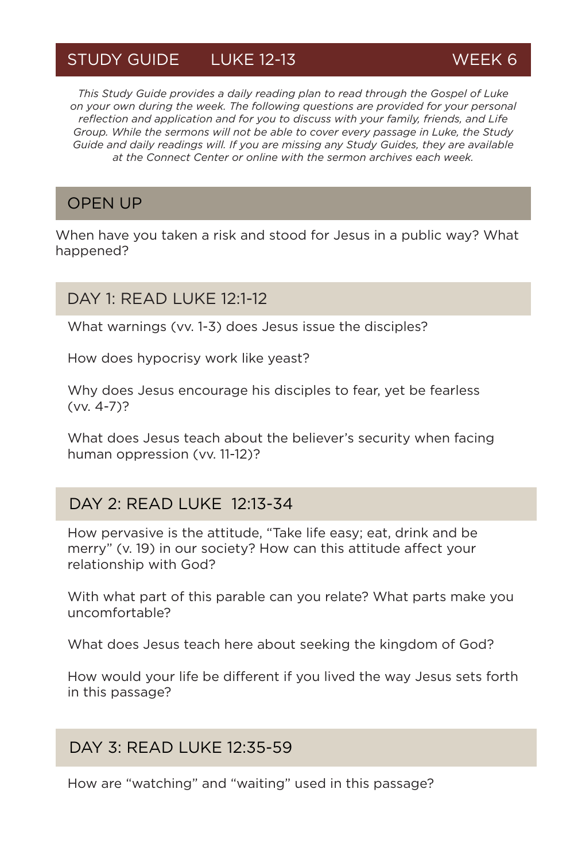# STUDY GUIDE LUKE 12-13 WEEK 6

*This Study Guide provides a daily reading plan to read through the Gospel of Luke on your own during the week. The following questions are provided for your personal reflection and application and for you to discuss with your family, friends, and Life Group. While the sermons will not be able to cover every passage in Luke, the Study Guide and daily readings will. If you are missing any Study Guides, they are available at the Connect Center or online with the sermon archives each week.*

## OPEN UP

When have you taken a risk and stood for Jesus in a public way? What happened?

### DAY 1: READ LUKE 12:1-12

What warnings (vv. 1-3) does Jesus issue the disciples?

How does hypocrisy work like yeast?

Why does Jesus encourage his disciples to fear, yet be fearless (vv. 4-7)?

What does Jesus teach about the believer's security when facing human oppression (vv. 11-12)?

## DAY 2: READ LUKE 12:13-34

How pervasive is the attitude, "Take life easy; eat, drink and be merry" (v. 19) in our society? How can this attitude affect your relationship with God?

With what part of this parable can you relate? What parts make you uncomfortable?

What does Jesus teach here about seeking the kingdom of God?

How would your life be different if you lived the way Jesus sets forth in this passage?

### DAY 3: READ LUKE 12:35-59

How are "watching" and "waiting" used in this passage?